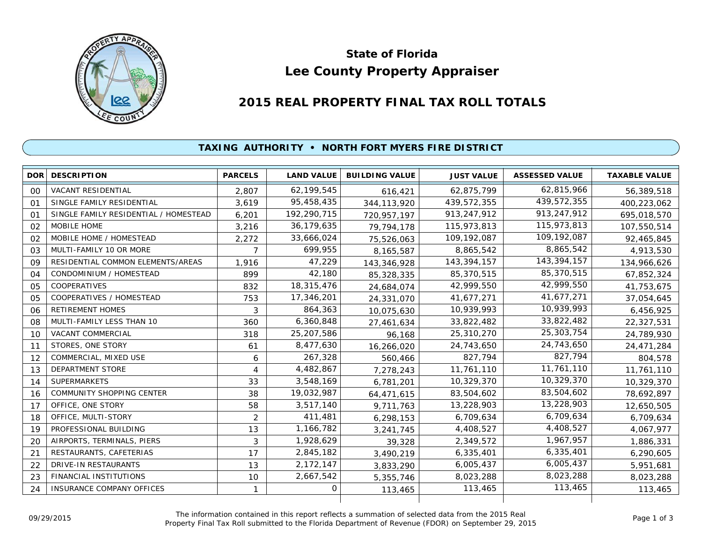

# **Lee County Property Appraiser State of Florida**

# **2015 REAL PROPERTY FINAL TAX ROLL TOTALS**

## **TAXING AUTHORITY • NORTH FORT MYERS FIRE DISTRICT**

| <b>DOR</b>     | <b>DESCRIPTION</b>                    | <b>PARCELS</b> | <b>LAND VALUE</b> | <b>BUILDING VALUE</b> | <b>JUST VALUE</b> | <b>ASSESSED VALUE</b> | <b>TAXABLE VALUE</b> |
|----------------|---------------------------------------|----------------|-------------------|-----------------------|-------------------|-----------------------|----------------------|
| 00             | <b>VACANT RESIDENTIAL</b>             | 2,807          | 62,199,545        | 616,421               | 62,875,799        | 62,815,966            | 56,389,518           |
| 01             | SINGLE FAMILY RESIDENTIAL             | 3,619          | 95,458,435        | 344, 113, 920         | 439,572,355       | 439,572,355           | 400,223,062          |
| O <sub>1</sub> | SINGLE FAMILY RESIDENTIAL / HOMESTEAD | 6,201          | 192,290,715       | 720, 957, 197         | 913,247,912       | 913,247,912           | 695,018,570          |
| 02             | MOBILE HOME                           | 3,216          | 36,179,635        | 79,794,178            | 115,973,813       | 115,973,813           | 107,550,514          |
| 02             | MOBILE HOME / HOMESTEAD               | 2,272          | 33,666,024        | 75,526,063            | 109, 192, 087     | 109,192,087           | 92,465,845           |
| 03             | MULTI-FAMILY 10 OR MORE               |                | 699,955           | 8,165,587             | 8,865,542         | 8,865,542             | 4,913,530            |
| 09             | RESIDENTIAL COMMON ELEMENTS/AREAS     | 1,916          | 47,229            | 143,346,928           | 143,394,157       | 143,394,157           | 134,966,626          |
| 04             | CONDOMINIUM / HOMESTEAD               | 899            | 42,180            | 85,328,335            | 85,370,515        | 85,370,515            | 67,852,324           |
| 05             | <b>COOPERATIVES</b>                   | 832            | 18,315,476        | 24,684,074            | 42,999,550        | 42,999,550            | 41,753,675           |
| 05             | COOPERATIVES / HOMESTEAD              | 753            | 17,346,201        | 24,331,070            | 41,677,271        | 41,677,271            | 37,054,645           |
| 06             | <b>RETIREMENT HOMES</b>               | 3              | 864,363           | 10,075,630            | 10,939,993        | 10,939,993            | 6,456,925            |
| 08             | MULTI-FAMILY LESS THAN 10             | 360            | 6,360,848         | 27,461,634            | 33,822,482        | 33,822,482            | 22,327,531           |
| 10             | <b>VACANT COMMERCIAL</b>              | 318            | 25,207,586        | 96,168                | 25,310,270        | 25,303,754            | 24,789,930           |
| 11             | STORES, ONE STORY                     | 61             | 8,477,630         | 16,266,020            | 24,743,650        | 24,743,650            | 24,471,284           |
| 12             | COMMERCIAL, MIXED USE                 | 6              | 267,328           | 560,466               | 827,794           | 827,794               | 804,578              |
| 13             | <b>DEPARTMENT STORE</b>               | 4              | 4,482,867         | 7,278,243             | 11,761,110        | 11,761,110            | 11,761,110           |
| 14             | <b>SUPERMARKETS</b>                   | 33             | 3,548,169         | 6,781,201             | 10,329,370        | 10,329,370            | 10,329,370           |
| 16             | <b>COMMUNITY SHOPPING CENTER</b>      | 38             | 19,032,987        | 64,471,615            | 83,504,602        | 83,504,602            | 78,692,897           |
| 17             | OFFICE, ONE STORY                     | 58             | 3,517,140         | 9,711,763             | 13,228,903        | 13,228,903            | 12,650,505           |
| 18             | OFFICE, MULTI-STORY                   | 2              | 411,481           | 6,298,153             | 6,709,634         | 6,709,634             | 6,709,634            |
| 19             | PROFESSIONAL BUILDING                 | 13             | 1,166,782         | 3,241,745             | 4,408,527         | 4,408,527             | 4,067,977            |
| 20             | AIRPORTS, TERMINALS, PIERS            | 3              | 1,928,629         | 39,328                | 2,349,572         | 1,967,957             | 1,886,331            |
| 21             | RESTAURANTS, CAFETERIAS               | 17             | 2,845,182         | 3,490,219             | 6,335,401         | 6,335,401             | 6,290,605            |
| 22             | DRIVE-IN RESTAURANTS                  | 13             | 2,172,147         | 3,833,290             | 6,005,437         | 6,005,437             | 5,951,681            |
| 23             | FINANCIAL INSTITUTIONS                | 10             | 2,667,542         | 5,355,746             | 8,023,288         | 8,023,288             | 8,023,288            |
| 24             | <b>INSURANCE COMPANY OFFICES</b>      | 1              | 0                 | 113,465               | 113,465           | 113,465               | 113,465              |
|                |                                       |                |                   |                       |                   |                       |                      |

The information contained in this report reflects a summation of selected data from the 2015 Real Ine information contained in this report reflects a summation of selected data from the 2015 Real<br>Property Final Tax Roll submitted to the Florida Department of Revenue (FDOR) on September 29, 2015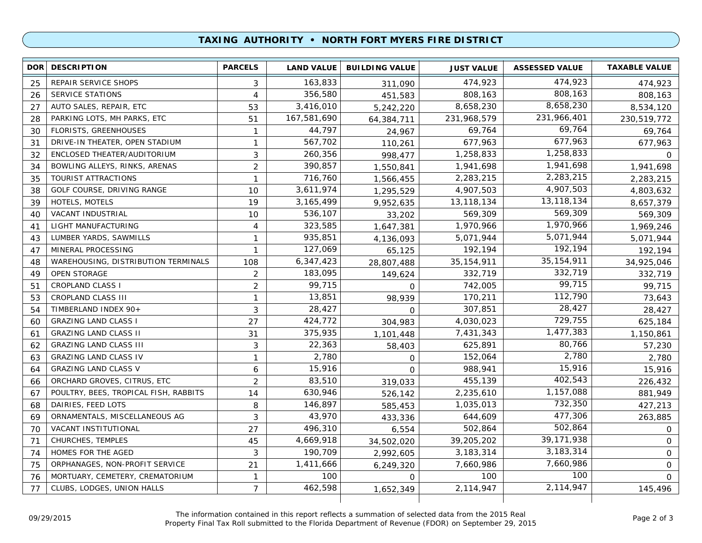### **TAXING AUTHORITY • NORTH FORT MYERS FIRE DISTRICT**

| 474,923<br>163,833<br>474,923<br>REPAIR SERVICE SHOPS<br>25<br>3<br>311,090<br>808,163<br>356,580<br>808,163<br>SERVICE STATIONS<br>4<br>26<br>451,583<br>8,658,230<br>3,416,010<br>8,658,230<br>27<br>AUTO SALES, REPAIR, ETC<br>53<br>5,242,220<br>231,966,401<br>167,581,690<br>PARKING LOTS, MH PARKS, ETC<br>51<br>231,968,579<br>28<br>64,384,711<br>69,764<br>44,797<br>FLORISTS, GREENHOUSES<br>69,764<br>30<br>$\mathbf{1}$<br>24,967<br>677,963<br>567,702<br>DRIVE-IN THEATER, OPEN STADIUM<br>677,963<br>31<br>$\mathbf{1}$<br>110,261<br>1,258,833<br>260,356<br>ENCLOSED THEATER/AUDITORIUM<br>3<br>1,258,833<br>32<br>998,477<br>1,941,698<br>$\overline{2}$<br>390,857<br>BOWLING ALLEYS, RINKS, ARENAS<br>1,941,698<br>34<br>1,550,841<br>2,283,215<br>716,760<br>2,283,215<br>TOURIST ATTRACTIONS<br>$\mathbf{1}$<br>35<br>1,566,455<br>4,907,503<br>3,611,974<br>4,907,503<br>GOLF COURSE, DRIVING RANGE<br>10<br>38<br>1,295,529<br>13, 118, 134<br>3, 165, 499<br>13,118,134<br>HOTELS, MOTELS<br>19<br>39<br>9,952,635<br>569,309<br>536,107<br>569,309<br>VACANT INDUSTRIAL<br>10<br>40<br>33,202<br>1,970,966<br>323,585<br>LIGHT MANUFACTURING<br>1,970,966<br>4<br>1,647,381<br>41<br>5,071,944<br>935,851<br>LUMBER YARDS, SAWMILLS<br>5,071,944<br>1<br>43<br>4,136,093<br>192,194<br>127,069<br>MINERAL PROCESSING<br>1<br>192,194<br>65,125<br>47<br>35, 154, 911<br>6,347,423<br>WAREHOUSING, DISTRIBUTION TERMINALS<br>108<br>35, 154, 911<br>28,807,488<br>48<br>332,719<br>183,095<br><b>OPEN STORAGE</b><br>$\overline{2}$<br>332,719<br>49<br>149,624<br>99,715<br>$\overline{2}$<br>99,715<br>742,005<br>51<br><b>CROPLAND CLASS I</b><br>$\Omega$<br>112,790<br>13,851<br>170,211<br>CROPLAND CLASS III<br>$\mathbf{1}$<br>53<br>98,939<br>28,427<br>28,427<br>307,851<br>TIMBERLAND INDEX 90+<br>3<br>54<br>$\Omega$<br>729,755<br>424,772<br><b>GRAZING LAND CLASS I</b><br>27<br>4,030,023<br>304,983<br>60<br>1,477,383<br>375,935<br><b>GRAZING LAND CLASS II</b><br>31<br>7,431,343<br>61<br>1,101,448<br>80,766<br>3<br>22,363<br><b>GRAZING LAND CLASS III</b><br>625,891<br>62<br>58,403<br>2,780<br>2,780<br><b>GRAZING LAND CLASS IV</b><br>$\mathbf{1}$<br>152,064<br>63<br>$\Omega$<br>15,916<br>15,916<br>988,941<br><b>GRAZING LAND CLASS V</b><br>6<br>64<br>$\Omega$<br>402,543<br>83,510<br>$\overline{2}$<br>455,139<br>ORCHARD GROVES, CITRUS, ETC<br>319,033<br>66<br>1,157,088<br>630,946<br>POULTRY, BEES, TROPICAL FISH, RABBITS<br>14<br>2,235,610<br>67<br>526,142<br>732,350<br>146,897<br>DAIRIES, FEED LOTS<br>8<br>1,035,013<br>68<br>585,453<br>477,306<br>43,970<br>ORNAMENTALS, MISCELLANEOUS AG<br>3<br>644,609<br>69<br>433,336<br>502,864<br>496,310<br>VACANT INSTITUTIONAL<br>27<br>502,864<br>70<br>6,554 | DOR <b>I</b> | <b>DESCRIPTION</b> | <b>PARCELS</b> | <b>LAND VALUE</b> | <b>BUILDING VALUE</b> | <b>JUST VALUE</b> | <b>ASSESSED VALUE</b> | <b>TAXABLE VALUE</b> |
|----------------------------------------------------------------------------------------------------------------------------------------------------------------------------------------------------------------------------------------------------------------------------------------------------------------------------------------------------------------------------------------------------------------------------------------------------------------------------------------------------------------------------------------------------------------------------------------------------------------------------------------------------------------------------------------------------------------------------------------------------------------------------------------------------------------------------------------------------------------------------------------------------------------------------------------------------------------------------------------------------------------------------------------------------------------------------------------------------------------------------------------------------------------------------------------------------------------------------------------------------------------------------------------------------------------------------------------------------------------------------------------------------------------------------------------------------------------------------------------------------------------------------------------------------------------------------------------------------------------------------------------------------------------------------------------------------------------------------------------------------------------------------------------------------------------------------------------------------------------------------------------------------------------------------------------------------------------------------------------------------------------------------------------------------------------------------------------------------------------------------------------------------------------------------------------------------------------------------------------------------------------------------------------------------------------------------------------------------------------------------------------------------------------------------------------------------------------------------------------------------------------------------------------------------------------------------------------------------------------------------------------------------------------------------------------------------------------------------------------------------------------------------------------|--------------|--------------------|----------------|-------------------|-----------------------|-------------------|-----------------------|----------------------|
|                                                                                                                                                                                                                                                                                                                                                                                                                                                                                                                                                                                                                                                                                                                                                                                                                                                                                                                                                                                                                                                                                                                                                                                                                                                                                                                                                                                                                                                                                                                                                                                                                                                                                                                                                                                                                                                                                                                                                                                                                                                                                                                                                                                                                                                                                                                                                                                                                                                                                                                                                                                                                                                                                                                                                                                        |              |                    |                |                   |                       |                   |                       | 474,923              |
|                                                                                                                                                                                                                                                                                                                                                                                                                                                                                                                                                                                                                                                                                                                                                                                                                                                                                                                                                                                                                                                                                                                                                                                                                                                                                                                                                                                                                                                                                                                                                                                                                                                                                                                                                                                                                                                                                                                                                                                                                                                                                                                                                                                                                                                                                                                                                                                                                                                                                                                                                                                                                                                                                                                                                                                        |              |                    |                |                   |                       |                   |                       | 808,163              |
|                                                                                                                                                                                                                                                                                                                                                                                                                                                                                                                                                                                                                                                                                                                                                                                                                                                                                                                                                                                                                                                                                                                                                                                                                                                                                                                                                                                                                                                                                                                                                                                                                                                                                                                                                                                                                                                                                                                                                                                                                                                                                                                                                                                                                                                                                                                                                                                                                                                                                                                                                                                                                                                                                                                                                                                        |              |                    |                |                   |                       |                   |                       | 8,534,120            |
|                                                                                                                                                                                                                                                                                                                                                                                                                                                                                                                                                                                                                                                                                                                                                                                                                                                                                                                                                                                                                                                                                                                                                                                                                                                                                                                                                                                                                                                                                                                                                                                                                                                                                                                                                                                                                                                                                                                                                                                                                                                                                                                                                                                                                                                                                                                                                                                                                                                                                                                                                                                                                                                                                                                                                                                        |              |                    |                |                   |                       |                   |                       | 230,519,772          |
|                                                                                                                                                                                                                                                                                                                                                                                                                                                                                                                                                                                                                                                                                                                                                                                                                                                                                                                                                                                                                                                                                                                                                                                                                                                                                                                                                                                                                                                                                                                                                                                                                                                                                                                                                                                                                                                                                                                                                                                                                                                                                                                                                                                                                                                                                                                                                                                                                                                                                                                                                                                                                                                                                                                                                                                        |              |                    |                |                   |                       |                   |                       | 69,764               |
|                                                                                                                                                                                                                                                                                                                                                                                                                                                                                                                                                                                                                                                                                                                                                                                                                                                                                                                                                                                                                                                                                                                                                                                                                                                                                                                                                                                                                                                                                                                                                                                                                                                                                                                                                                                                                                                                                                                                                                                                                                                                                                                                                                                                                                                                                                                                                                                                                                                                                                                                                                                                                                                                                                                                                                                        |              |                    |                |                   |                       |                   |                       | 677,963              |
|                                                                                                                                                                                                                                                                                                                                                                                                                                                                                                                                                                                                                                                                                                                                                                                                                                                                                                                                                                                                                                                                                                                                                                                                                                                                                                                                                                                                                                                                                                                                                                                                                                                                                                                                                                                                                                                                                                                                                                                                                                                                                                                                                                                                                                                                                                                                                                                                                                                                                                                                                                                                                                                                                                                                                                                        |              |                    |                |                   |                       |                   |                       | $\Omega$             |
|                                                                                                                                                                                                                                                                                                                                                                                                                                                                                                                                                                                                                                                                                                                                                                                                                                                                                                                                                                                                                                                                                                                                                                                                                                                                                                                                                                                                                                                                                                                                                                                                                                                                                                                                                                                                                                                                                                                                                                                                                                                                                                                                                                                                                                                                                                                                                                                                                                                                                                                                                                                                                                                                                                                                                                                        |              |                    |                |                   |                       |                   |                       | 1,941,698            |
|                                                                                                                                                                                                                                                                                                                                                                                                                                                                                                                                                                                                                                                                                                                                                                                                                                                                                                                                                                                                                                                                                                                                                                                                                                                                                                                                                                                                                                                                                                                                                                                                                                                                                                                                                                                                                                                                                                                                                                                                                                                                                                                                                                                                                                                                                                                                                                                                                                                                                                                                                                                                                                                                                                                                                                                        |              |                    |                |                   |                       |                   |                       | 2,283,215            |
|                                                                                                                                                                                                                                                                                                                                                                                                                                                                                                                                                                                                                                                                                                                                                                                                                                                                                                                                                                                                                                                                                                                                                                                                                                                                                                                                                                                                                                                                                                                                                                                                                                                                                                                                                                                                                                                                                                                                                                                                                                                                                                                                                                                                                                                                                                                                                                                                                                                                                                                                                                                                                                                                                                                                                                                        |              |                    |                |                   |                       |                   |                       | 4,803,632            |
|                                                                                                                                                                                                                                                                                                                                                                                                                                                                                                                                                                                                                                                                                                                                                                                                                                                                                                                                                                                                                                                                                                                                                                                                                                                                                                                                                                                                                                                                                                                                                                                                                                                                                                                                                                                                                                                                                                                                                                                                                                                                                                                                                                                                                                                                                                                                                                                                                                                                                                                                                                                                                                                                                                                                                                                        |              |                    |                |                   |                       |                   |                       | 8,657,379            |
|                                                                                                                                                                                                                                                                                                                                                                                                                                                                                                                                                                                                                                                                                                                                                                                                                                                                                                                                                                                                                                                                                                                                                                                                                                                                                                                                                                                                                                                                                                                                                                                                                                                                                                                                                                                                                                                                                                                                                                                                                                                                                                                                                                                                                                                                                                                                                                                                                                                                                                                                                                                                                                                                                                                                                                                        |              |                    |                |                   |                       |                   |                       | 569,309              |
|                                                                                                                                                                                                                                                                                                                                                                                                                                                                                                                                                                                                                                                                                                                                                                                                                                                                                                                                                                                                                                                                                                                                                                                                                                                                                                                                                                                                                                                                                                                                                                                                                                                                                                                                                                                                                                                                                                                                                                                                                                                                                                                                                                                                                                                                                                                                                                                                                                                                                                                                                                                                                                                                                                                                                                                        |              |                    |                |                   |                       |                   |                       | 1,969,246            |
|                                                                                                                                                                                                                                                                                                                                                                                                                                                                                                                                                                                                                                                                                                                                                                                                                                                                                                                                                                                                                                                                                                                                                                                                                                                                                                                                                                                                                                                                                                                                                                                                                                                                                                                                                                                                                                                                                                                                                                                                                                                                                                                                                                                                                                                                                                                                                                                                                                                                                                                                                                                                                                                                                                                                                                                        |              |                    |                |                   |                       |                   |                       | 5,071,944            |
|                                                                                                                                                                                                                                                                                                                                                                                                                                                                                                                                                                                                                                                                                                                                                                                                                                                                                                                                                                                                                                                                                                                                                                                                                                                                                                                                                                                                                                                                                                                                                                                                                                                                                                                                                                                                                                                                                                                                                                                                                                                                                                                                                                                                                                                                                                                                                                                                                                                                                                                                                                                                                                                                                                                                                                                        |              |                    |                |                   |                       |                   |                       | 192,194              |
|                                                                                                                                                                                                                                                                                                                                                                                                                                                                                                                                                                                                                                                                                                                                                                                                                                                                                                                                                                                                                                                                                                                                                                                                                                                                                                                                                                                                                                                                                                                                                                                                                                                                                                                                                                                                                                                                                                                                                                                                                                                                                                                                                                                                                                                                                                                                                                                                                                                                                                                                                                                                                                                                                                                                                                                        |              |                    |                |                   |                       |                   |                       | 34,925,046           |
|                                                                                                                                                                                                                                                                                                                                                                                                                                                                                                                                                                                                                                                                                                                                                                                                                                                                                                                                                                                                                                                                                                                                                                                                                                                                                                                                                                                                                                                                                                                                                                                                                                                                                                                                                                                                                                                                                                                                                                                                                                                                                                                                                                                                                                                                                                                                                                                                                                                                                                                                                                                                                                                                                                                                                                                        |              |                    |                |                   |                       |                   |                       | 332,719              |
|                                                                                                                                                                                                                                                                                                                                                                                                                                                                                                                                                                                                                                                                                                                                                                                                                                                                                                                                                                                                                                                                                                                                                                                                                                                                                                                                                                                                                                                                                                                                                                                                                                                                                                                                                                                                                                                                                                                                                                                                                                                                                                                                                                                                                                                                                                                                                                                                                                                                                                                                                                                                                                                                                                                                                                                        |              |                    |                |                   |                       |                   |                       | 99,715               |
|                                                                                                                                                                                                                                                                                                                                                                                                                                                                                                                                                                                                                                                                                                                                                                                                                                                                                                                                                                                                                                                                                                                                                                                                                                                                                                                                                                                                                                                                                                                                                                                                                                                                                                                                                                                                                                                                                                                                                                                                                                                                                                                                                                                                                                                                                                                                                                                                                                                                                                                                                                                                                                                                                                                                                                                        |              |                    |                |                   |                       |                   |                       | 73,643               |
|                                                                                                                                                                                                                                                                                                                                                                                                                                                                                                                                                                                                                                                                                                                                                                                                                                                                                                                                                                                                                                                                                                                                                                                                                                                                                                                                                                                                                                                                                                                                                                                                                                                                                                                                                                                                                                                                                                                                                                                                                                                                                                                                                                                                                                                                                                                                                                                                                                                                                                                                                                                                                                                                                                                                                                                        |              |                    |                |                   |                       |                   |                       | 28,427               |
|                                                                                                                                                                                                                                                                                                                                                                                                                                                                                                                                                                                                                                                                                                                                                                                                                                                                                                                                                                                                                                                                                                                                                                                                                                                                                                                                                                                                                                                                                                                                                                                                                                                                                                                                                                                                                                                                                                                                                                                                                                                                                                                                                                                                                                                                                                                                                                                                                                                                                                                                                                                                                                                                                                                                                                                        |              |                    |                |                   |                       |                   |                       | 625,184              |
|                                                                                                                                                                                                                                                                                                                                                                                                                                                                                                                                                                                                                                                                                                                                                                                                                                                                                                                                                                                                                                                                                                                                                                                                                                                                                                                                                                                                                                                                                                                                                                                                                                                                                                                                                                                                                                                                                                                                                                                                                                                                                                                                                                                                                                                                                                                                                                                                                                                                                                                                                                                                                                                                                                                                                                                        |              |                    |                |                   |                       |                   |                       | 1,150,861            |
|                                                                                                                                                                                                                                                                                                                                                                                                                                                                                                                                                                                                                                                                                                                                                                                                                                                                                                                                                                                                                                                                                                                                                                                                                                                                                                                                                                                                                                                                                                                                                                                                                                                                                                                                                                                                                                                                                                                                                                                                                                                                                                                                                                                                                                                                                                                                                                                                                                                                                                                                                                                                                                                                                                                                                                                        |              |                    |                |                   |                       |                   |                       | 57,230               |
|                                                                                                                                                                                                                                                                                                                                                                                                                                                                                                                                                                                                                                                                                                                                                                                                                                                                                                                                                                                                                                                                                                                                                                                                                                                                                                                                                                                                                                                                                                                                                                                                                                                                                                                                                                                                                                                                                                                                                                                                                                                                                                                                                                                                                                                                                                                                                                                                                                                                                                                                                                                                                                                                                                                                                                                        |              |                    |                |                   |                       |                   |                       | 2,780                |
|                                                                                                                                                                                                                                                                                                                                                                                                                                                                                                                                                                                                                                                                                                                                                                                                                                                                                                                                                                                                                                                                                                                                                                                                                                                                                                                                                                                                                                                                                                                                                                                                                                                                                                                                                                                                                                                                                                                                                                                                                                                                                                                                                                                                                                                                                                                                                                                                                                                                                                                                                                                                                                                                                                                                                                                        |              |                    |                |                   |                       |                   |                       | 15,916               |
|                                                                                                                                                                                                                                                                                                                                                                                                                                                                                                                                                                                                                                                                                                                                                                                                                                                                                                                                                                                                                                                                                                                                                                                                                                                                                                                                                                                                                                                                                                                                                                                                                                                                                                                                                                                                                                                                                                                                                                                                                                                                                                                                                                                                                                                                                                                                                                                                                                                                                                                                                                                                                                                                                                                                                                                        |              |                    |                |                   |                       |                   |                       | 226,432              |
|                                                                                                                                                                                                                                                                                                                                                                                                                                                                                                                                                                                                                                                                                                                                                                                                                                                                                                                                                                                                                                                                                                                                                                                                                                                                                                                                                                                                                                                                                                                                                                                                                                                                                                                                                                                                                                                                                                                                                                                                                                                                                                                                                                                                                                                                                                                                                                                                                                                                                                                                                                                                                                                                                                                                                                                        |              |                    |                |                   |                       |                   |                       | 881,949              |
|                                                                                                                                                                                                                                                                                                                                                                                                                                                                                                                                                                                                                                                                                                                                                                                                                                                                                                                                                                                                                                                                                                                                                                                                                                                                                                                                                                                                                                                                                                                                                                                                                                                                                                                                                                                                                                                                                                                                                                                                                                                                                                                                                                                                                                                                                                                                                                                                                                                                                                                                                                                                                                                                                                                                                                                        |              |                    |                |                   |                       |                   |                       | 427,213              |
|                                                                                                                                                                                                                                                                                                                                                                                                                                                                                                                                                                                                                                                                                                                                                                                                                                                                                                                                                                                                                                                                                                                                                                                                                                                                                                                                                                                                                                                                                                                                                                                                                                                                                                                                                                                                                                                                                                                                                                                                                                                                                                                                                                                                                                                                                                                                                                                                                                                                                                                                                                                                                                                                                                                                                                                        |              |                    |                |                   |                       |                   |                       | 263,885              |
|                                                                                                                                                                                                                                                                                                                                                                                                                                                                                                                                                                                                                                                                                                                                                                                                                                                                                                                                                                                                                                                                                                                                                                                                                                                                                                                                                                                                                                                                                                                                                                                                                                                                                                                                                                                                                                                                                                                                                                                                                                                                                                                                                                                                                                                                                                                                                                                                                                                                                                                                                                                                                                                                                                                                                                                        |              |                    |                |                   |                       |                   |                       | $\circ$              |
|                                                                                                                                                                                                                                                                                                                                                                                                                                                                                                                                                                                                                                                                                                                                                                                                                                                                                                                                                                                                                                                                                                                                                                                                                                                                                                                                                                                                                                                                                                                                                                                                                                                                                                                                                                                                                                                                                                                                                                                                                                                                                                                                                                                                                                                                                                                                                                                                                                                                                                                                                                                                                                                                                                                                                                                        | 71           | CHURCHES, TEMPLES  | 45             | 4,669,918         | 34,502,020            | 39,205,202        | 39,171,938            | 0                    |
| 3,183,314<br>190,709<br>HOMES FOR THE AGED<br>3<br>3, 183, 314<br>74<br>2,992,605                                                                                                                                                                                                                                                                                                                                                                                                                                                                                                                                                                                                                                                                                                                                                                                                                                                                                                                                                                                                                                                                                                                                                                                                                                                                                                                                                                                                                                                                                                                                                                                                                                                                                                                                                                                                                                                                                                                                                                                                                                                                                                                                                                                                                                                                                                                                                                                                                                                                                                                                                                                                                                                                                                      |              |                    |                |                   |                       |                   |                       | $\mathbf 0$          |
| 7,660,986<br>1,411,666<br>ORPHANAGES, NON-PROFIT SERVICE<br>21<br>7,660,986<br>75<br>6,249,320                                                                                                                                                                                                                                                                                                                                                                                                                                                                                                                                                                                                                                                                                                                                                                                                                                                                                                                                                                                                                                                                                                                                                                                                                                                                                                                                                                                                                                                                                                                                                                                                                                                                                                                                                                                                                                                                                                                                                                                                                                                                                                                                                                                                                                                                                                                                                                                                                                                                                                                                                                                                                                                                                         |              |                    |                |                   |                       |                   |                       | 0                    |
| 100<br>100<br>MORTUARY, CEMETERY, CREMATORIUM<br>100<br>76<br>$\mathbf{1}$<br>$\Omega$                                                                                                                                                                                                                                                                                                                                                                                                                                                                                                                                                                                                                                                                                                                                                                                                                                                                                                                                                                                                                                                                                                                                                                                                                                                                                                                                                                                                                                                                                                                                                                                                                                                                                                                                                                                                                                                                                                                                                                                                                                                                                                                                                                                                                                                                                                                                                                                                                                                                                                                                                                                                                                                                                                 |              |                    |                |                   |                       |                   |                       | $\Omega$             |
| 2,114,947<br>462,598<br>$\overline{7}$<br>77<br>CLUBS, LODGES, UNION HALLS<br>2,114,947<br>1,652,349                                                                                                                                                                                                                                                                                                                                                                                                                                                                                                                                                                                                                                                                                                                                                                                                                                                                                                                                                                                                                                                                                                                                                                                                                                                                                                                                                                                                                                                                                                                                                                                                                                                                                                                                                                                                                                                                                                                                                                                                                                                                                                                                                                                                                                                                                                                                                                                                                                                                                                                                                                                                                                                                                   |              |                    |                |                   |                       |                   |                       | 145,496              |